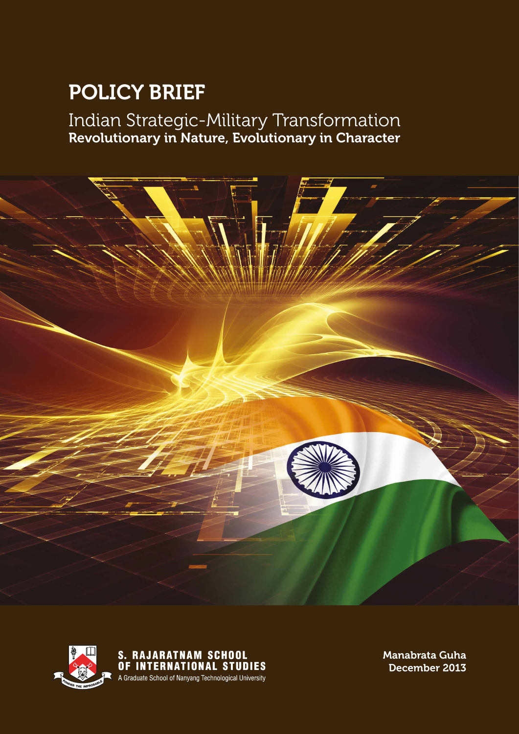# Policy Brief Policy Brief

Indian Strategic-Military Transformation Revolutionary in Nature, Evolutionary in Character





S. RAJARATNAM SCHOOL<br>OF INTERNATIONAL STUDIES A Graduate School of Nanyang Technological University

Manabrata Guha December 2013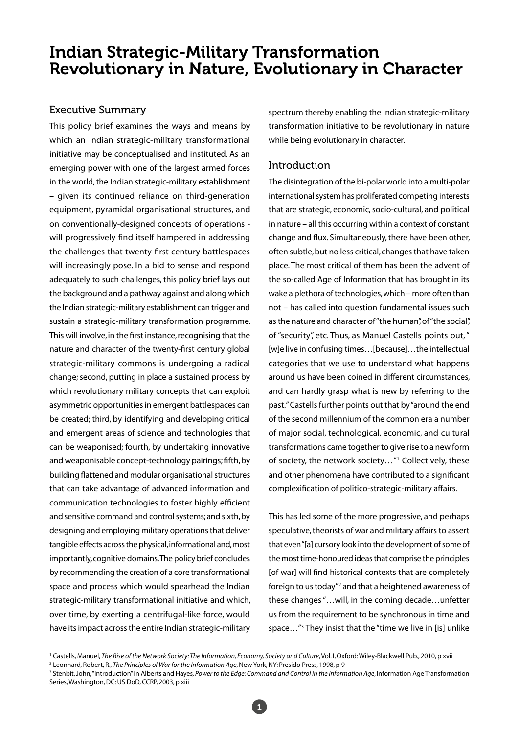# Indian Strategic-Military Transformation Revolutionary in Nature, Evolutionary in Character

#### Executive Summary

This policy brief examines the ways and means by which an Indian strategic-military transformational initiative may be conceptualised and instituted. As an emerging power with one of the largest armed forces in the world, the Indian strategic-military establishment – given its continued reliance on third-generation equipment, pyramidal organisational structures, and on conventionally-designed concepts of operations will progressively find itself hampered in addressing the challenges that twenty-first century battlespaces will increasingly pose. In a bid to sense and respond adequately to such challenges, this policy brief lays out the background and a pathway against and along which the Indian strategic-military establishment can trigger and sustain a strategic-military transformation programme. This will involve, in the first instance, recognising that the nature and character of the twenty-first century global strategic-military commons is undergoing a radical change; second, putting in place a sustained process by which revolutionary military concepts that can exploit asymmetric opportunities in emergent battlespaces can be created; third, by identifying and developing critical and emergent areas of science and technologies that can be weaponised; fourth, by undertaking innovative and weaponisable concept-technology pairings; fifth, by building flattened and modular organisational structures that can take advantage of advanced information and communication technologies to foster highly efficient and sensitive command and control systems; and sixth, by designing and employing military operations that deliver tangible effects across the physical, informational and, most importantly, cognitive domains. The policy brief concludes by recommending the creation of a core transformational space and process which would spearhead the Indian strategic-military transformational initiative and which, over time, by exerting a centrifugal-like force, would have its impact across the entire Indian strategic-military

spectrum thereby enabling the Indian strategic-military transformation initiative to be revolutionary in nature while being evolutionary in character.

#### Introduction

The disintegration of the bi-polar world into a multi-polar international system has proliferated competing interests that are strategic, economic, socio-cultural, and political in nature – all this occurring within a context of constant change and flux. Simultaneously, there have been other, often subtle, but no less critical, changes that have taken place. The most critical of them has been the advent of the so-called Age of Information that has brought in its wake a plethora of technologies, which – more often than not – has called into question fundamental issues such as the nature and character of "the human", of "the social", of "security", etc. Thus, as Manuel Castells points out, " [w]e live in confusing times...[because]...the intellectual categories that we use to understand what happens around us have been coined in different circumstances, and can hardly grasp what is new by referring to the past." Castells further points out that by "around the end of the second millennium of the common era a number of major social, technological, economic, and cultural transformations came together to give rise to a new form of society, the network society…"1 Collectively, these and other phenomena have contributed to a significant complexification of politico-strategic-military affairs.

This has led some of the more progressive, and perhaps speculative, theorists of war and military affairs to assert that even "[a] cursory look into the development of some of the most time-honoured ideas that comprise the principles [of war] will find historical contexts that are completely foreign to us today"<sup>2</sup> and that a heightened awareness of these changes "…will, in the coming decade…unfetter us from the requirement to be synchronous in time and space…"3 They insist that the "time we live in [is] unlike

<sup>&</sup>lt;sup>1</sup> Castells, Manuel, *The Rise of the Network Society: The Information, Economy, Society and Culture, Vol. I, Oxford: Wiley-Blackwell Pub., 2010, p xyii* 

<sup>2</sup> Leonhard, Robert, R., *The Principles of War for the Information Age*, New York, NY: Presido Press, 1998, p 9

<sup>&</sup>lt;sup>3</sup> Stenbit, John, "Introduction" in Alberts and Hayes, Power to the Edge: Command and Control in the Information Age, Information Age Transformation Series, Washington, DC: US DoD, CCRP, 2003, p xiii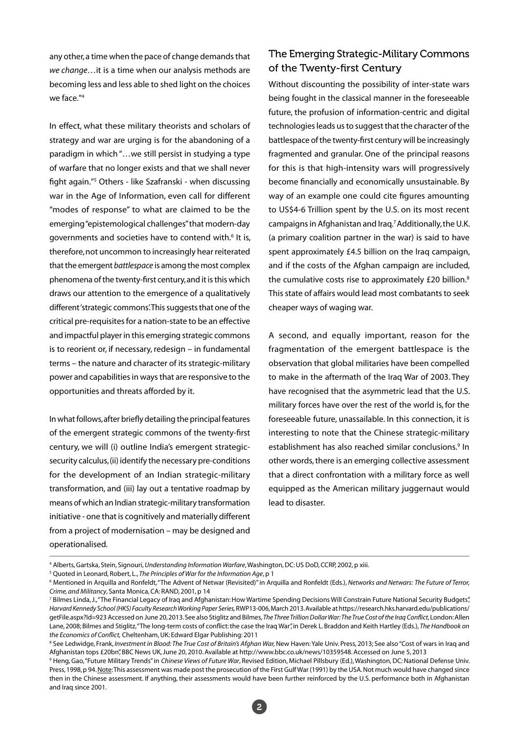any other, a time when the pace of change demands that *we change*…it is a time when our analysis methods are becoming less and less able to shed light on the choices we face."4

In effect, what these military theorists and scholars of strategy and war are urging is for the abandoning of a paradigm in which "…we still persist in studying a type of warfare that no longer exists and that we shall never fight again."5 Others - like Szafranski - when discussing war in the Age of Information, even call for different "modes of response" to what are claimed to be the emerging "epistemological challenges" that modern-day governments and societies have to contend with.<sup>6</sup> It is, therefore, not uncommon to increasingly hear reiterated that the emergent *battlespace* is among the most complex phenomena of the twenty-first century, and it is this which draws our attention to the emergence of a qualitatively different 'strategic commons'. This suggests that one of the critical pre-requisites for a nation-state to be an effective and impactful player in this emerging strategic commons is to reorient or, if necessary, redesign – in fundamental terms – the nature and character of its strategic-military power and capabilities in ways that are responsive to the opportunities and threats afforded by it.

In what follows, after briefly detailing the principal features of the emergent strategic commons of the twenty-first century, we will (i) outline India's emergent strategicsecurity calculus, (ii) identify the necessary pre-conditions for the development of an Indian strategic-military transformation, and (iii) lay out a tentative roadmap by means of which an Indian strategic-military transformation initiative - one that is cognitively and materially different from a project of modernisation – may be designed and operationalised.

## The Emerging Strategic-Military Commons of the Twenty-first Century

Without discounting the possibility of inter-state wars being fought in the classical manner in the foreseeable future, the profusion of information-centric and digital technologies leads us to suggest that the character of the battlespace of the twenty-first century will be increasingly fragmented and granular. One of the principal reasons for this is that high-intensity wars will progressively become financially and economically unsustainable. By way of an example one could cite figures amounting to US\$4-6 Trillion spent by the U.S. on its most recent campaigns in Afghanistan and Iraq.7 Additionally, the U.K. (a primary coalition partner in the war) is said to have spent approximately £4.5 billion on the Iraq campaign, and if the costs of the Afghan campaign are included, the cumulative costs rise to approximately £20 billion.<sup>8</sup> This state of affairs would lead most combatants to seek cheaper ways of waging war.

A second, and equally important, reason for the fragmentation of the emergent battlespace is the observation that global militaries have been compelled to make in the aftermath of the Iraq War of 2003. They have recognised that the asymmetric lead that the U.S. military forces have over the rest of the world is, for the foreseeable future, unassailable. In this connection, it is interesting to note that the Chinese strategic-military establishment has also reached similar conclusions.<sup>9</sup> In other words, there is an emerging collective assessment that a direct confrontation with a military force as well equipped as the American military juggernaut would lead to disaster.

<sup>4</sup> Alberts, Gartska, Stein, Signouri, *Understanding Information Warfare*, Washington, DC: US DoD, CCRP, 2002, p xiii.

<sup>5</sup> Quoted in Leonard, Robert, L., *The Principles of War for the Information Age*, p 1

<sup>6</sup> Mentioned in Arquilla and Ronfeldt, "The Advent of Netwar (Revisited)" in Arquilla and Ronfeldt (Eds.), *Networks and Netwars: The Future of Terror, Crime, and Militancy*, Santa Monica, CA: RAND, 2001, p 14

<sup>&</sup>lt;sup>7</sup> Bilmes Linda, J., "The Financial Legacy of Iraq and Afghanistan: How Wartime Spending Decisions Will Constrain Future National Security Budgets", *Harvard Kennedy School (HKS) Faculty Research Working Paper Series,* RWP13-006, March 2013. Available at https://research.hks.harvard.edu/publications/ getFile.aspx?Id=923 Accessed on June 20, 2013. See also Stiglitz and Bilmes, *The Three Trillion Dollar War: The True Cost of the Iraq Conflict,* London: Allen Lane, 2008; Bilmes and Stiglitz, "The long-term costs of conflict: the case the Iraq War", in Derek L. Braddon and Keith Hartley (Eds.), *The Handbook on the Economics of Conflict,* Cheltenham, UK: Edward Elgar Publishing: 2011

<sup>&</sup>lt;sup>8</sup> See Ledwidge, Frank, *Investment in Blood: The True Cost of Britain's Afghan War*, New Haven: Yale Univ. Press, 2013; See also "Cost of wars in Iraq and Afghanistan tops £20bn", BBC News UK, June 20, 2010. Available at http://www.bbc.co.uk/news/10359548. Accessed on June 5, 2013

<sup>9</sup> Heng, Gao, "Future Military Trends" in *Chinese Views of Future War*, Revised Edition, Michael Pillsbury (Ed.), Washington, DC: National Defense Univ. Press, 1998, p 94. Note: This assessment was made post the prosecution of the First Gulf War (1991) by the USA. Not much would have changed since then in the Chinese assessment. If anything, their assessments would have been further reinforced by the U.S. performance both in Afghanistan and Iraq since 2001.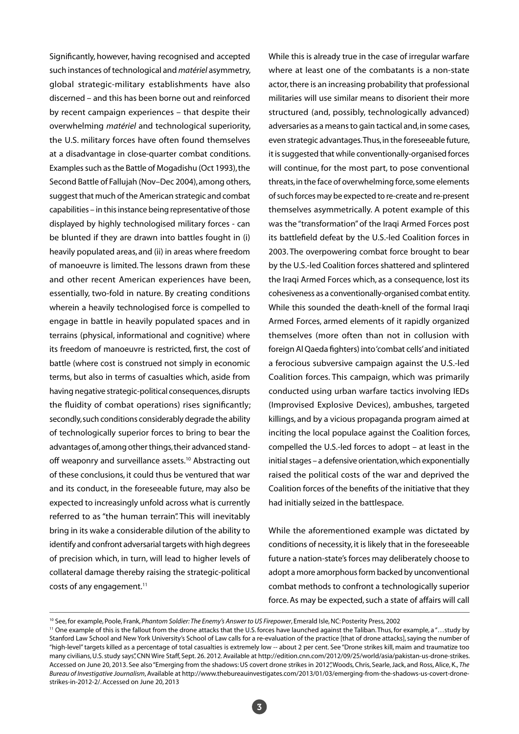Significantly, however, having recognised and accepted such instances of technological and *matériel* asymmetry, global strategic-military establishments have also discerned – and this has been borne out and reinforced by recent campaign experiences – that despite their overwhelming *matériel* and technological superiority, the U.S. military forces have often found themselves at a disadvantage in close-quarter combat conditions. Examples such as the Battle of Mogadishu (Oct 1993), the Second Battle of Fallujah (Nov–Dec 2004), among others, suggest that much of the American strategic and combat capabilities – in this instance being representative of those displayed by highly technologised military forces - can be blunted if they are drawn into battles fought in (i) heavily populated areas, and (ii) in areas where freedom of manoeuvre is limited. The lessons drawn from these and other recent American experiences have been, essentially, two-fold in nature. By creating conditions wherein a heavily technologised force is compelled to engage in battle in heavily populated spaces and in terrains (physical, informational and cognitive) where its freedom of manoeuvre is restricted, first, the cost of battle (where cost is construed not simply in economic terms, but also in terms of casualties which, aside from having negative strategic-political consequences, disrupts the fluidity of combat operations) rises significantly; secondly, such conditions considerably degrade the ability of technologically superior forces to bring to bear the advantages of, among other things, their advanced standoff weaponry and surveillance assets.<sup>10</sup> Abstracting out of these conclusions, it could thus be ventured that war and its conduct, in the foreseeable future, may also be expected to increasingly unfold across what is currently referred to as "the human terrain". This will inevitably bring in its wake a considerable dilution of the ability to identify and confront adversarial targets with high degrees of precision which, in turn, will lead to higher levels of collateral damage thereby raising the strategic-political costs of any engagement.<sup>11</sup>

While this is already true in the case of irregular warfare where at least one of the combatants is a non-state actor, there is an increasing probability that professional militaries will use similar means to disorient their more structured (and, possibly, technologically advanced) adversaries as a means to gain tactical and, in some cases, even strategic advantages. Thus, in the foreseeable future, it is suggested that while conventionally-organised forces will continue, for the most part, to pose conventional threats, in the face of overwhelming force, some elements of such forces may be expected to re-create and re-present themselves asymmetrically. A potent example of this was the "transformation" of the Iraqi Armed Forces post its battlefield defeat by the U.S.-led Coalition forces in 2003. The overpowering combat force brought to bear by the U.S.-led Coalition forces shattered and splintered the Iraqi Armed Forces which, as a consequence, lost its cohesiveness as a conventionally-organised combat entity. While this sounded the death-knell of the formal Iraqi Armed Forces, armed elements of it rapidly organized themselves (more often than not in collusion with foreign Al Qaeda fighters) into 'combat cells' and initiated a ferocious subversive campaign against the U.S.-led Coalition forces. This campaign, which was primarily conducted using urban warfare tactics involving IEDs (Improvised Explosive Devices), ambushes, targeted killings, and by a vicious propaganda program aimed at inciting the local populace against the Coalition forces, compelled the U.S.-led forces to adopt – at least in the initial stages – a defensive orientation, which exponentially raised the political costs of the war and deprived the Coalition forces of the benefits of the initiative that they had initially seized in the battlespace.

While the aforementioned example was dictated by conditions of necessity, it is likely that in the foreseeable future a nation-state's forces may deliberately choose to adopt a more amorphous form backed by unconventional combat methods to confront a technologically superior force. As may be expected, such a state of affairs will call

<sup>10</sup> See, for example, Poole, Frank, *Phantom Soldier: The Enemy's Answer to US Firepower*, Emerald Isle, NC: Posterity Press, 2002

<sup>&</sup>lt;sup>11</sup> One example of this is the fallout from the drone attacks that the U.S. forces have launched against the Taliban. Thus, for example, a "...study by Stanford Law School and New York University's School of Law calls for a re-evaluation of the practice [that of drone attacks], saying the number of "high-level" targets killed as a percentage of total casualties is extremely low -- about 2 per cent. See "Drone strikes kill, maim and traumatize too many civilians, U.S. study says", CNN Wire Staff, Sept. 26. 2012. Available at http://edition.cnn.com/2012/09/25/world/asia/pakistan-us-drone-strikes. Accessed on June 20, 2013. See also "Emerging from the shadows: US covert drone strikes in 2012", Woods, Chris, Searle, Jack, and Ross, Alice, K., *The Bureau of Investigative Journalism*, Available at http://www.thebureauinvestigates.com/2013/01/03/emerging-from-the-shadows-us-covert-dronestrikes-in-2012-2/. Accessed on June 20, 2013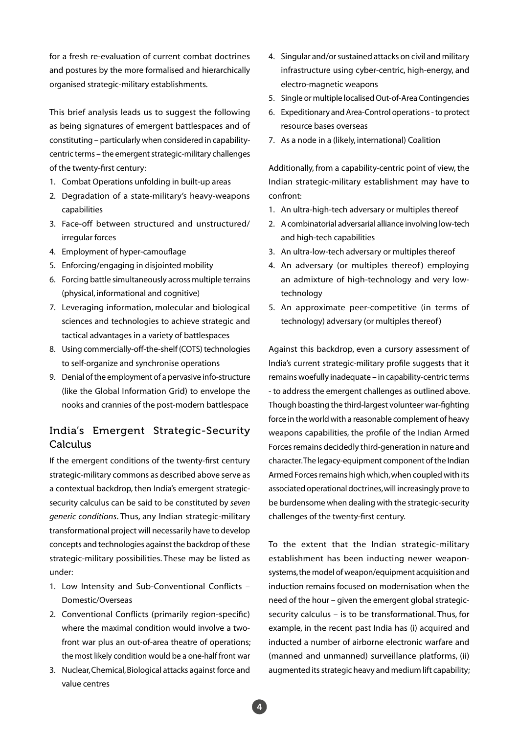for a fresh re-evaluation of current combat doctrines and postures by the more formalised and hierarchically organised strategic-military establishments.

This brief analysis leads us to suggest the following as being signatures of emergent battlespaces and of constituting – particularly when considered in capabilitycentric terms – the emergent strategic-military challenges of the twenty-first century:

- 1. Combat Operations unfolding in built-up areas
- 2. Degradation of a state-military's heavy-weapons capabilities
- 3. Face-off between structured and unstructured/ irregular forces
- 4. Employment of hyper-camouflage
- 5. Enforcing/engaging in disjointed mobility
- 6. Forcing battle simultaneously across multiple terrains (physical, informational and cognitive)
- 7. Leveraging information, molecular and biological sciences and technologies to achieve strategic and tactical advantages in a variety of battlespaces
- 8. Using commercially-off-the-shelf (COTS) technologies to self-organize and synchronise operations
- 9. Denial of the employment of a pervasive info-structure (like the Global Information Grid) to envelope the nooks and crannies of the post-modern battlespace

### India's Emergent Strategic-Security **Calculus**

If the emergent conditions of the twenty-first century strategic-military commons as described above serve as a contextual backdrop, then India's emergent strategicsecurity calculus can be said to be constituted by *seven generic conditions*. Thus, any Indian strategic-military transformational project will necessarily have to develop concepts and technologies against the backdrop of these strategic-military possibilities. These may be listed as under:

- 1. Low Intensity and Sub-Conventional Conflicts Domestic/Overseas
- 2. Conventional Conflicts (primarily region-specific) where the maximal condition would involve a twofront war plus an out-of-area theatre of operations; the most likely condition would be a one-half front war
- 3. Nuclear, Chemical, Biological attacks against force and value centres
- 4. Singular and/or sustained attacks on civil and military infrastructure using cyber-centric, high-energy, and electro-magnetic weapons
- 5. Single or multiple localised Out-of-Area Contingencies
- 6. Expeditionary and Area-Control operations to protect resource bases overseas
- 7. As a node in a (likely, international) Coalition

Additionally, from a capability-centric point of view, the Indian strategic-military establishment may have to confront:

- 1. An ultra-high-tech adversary or multiples thereof
- 2. A combinatorial adversarial alliance involving low-tech and high-tech capabilities
- 3. An ultra-low-tech adversary or multiples thereof
- 4. An adversary (or multiples thereof) employing an admixture of high-technology and very lowtechnology
- 5. An approximate peer-competitive (in terms of technology) adversary (or multiples thereof )

Against this backdrop, even a cursory assessment of India's current strategic-military profile suggests that it remains woefully inadequate – in capability-centric terms - to address the emergent challenges as outlined above. Though boasting the third-largest volunteer war-fighting force in the world with a reasonable complement of heavy weapons capabilities, the profile of the Indian Armed Forces remains decidedly third-generation in nature and character. The legacy-equipment component of the Indian Armed Forces remains high which, when coupled with its associated operational doctrines, will increasingly prove to be burdensome when dealing with the strategic-security challenges of the twenty-first century.

To the extent that the Indian strategic-military establishment has been inducting newer weaponsystems, the model of weapon/equipment acquisition and induction remains focused on modernisation when the need of the hour – given the emergent global strategicsecurity calculus – is to be transformational. Thus, for example, in the recent past India has (i) acquired and inducted a number of airborne electronic warfare and (manned and unmanned) surveillance platforms, (ii) augmented its strategic heavy and medium lift capability;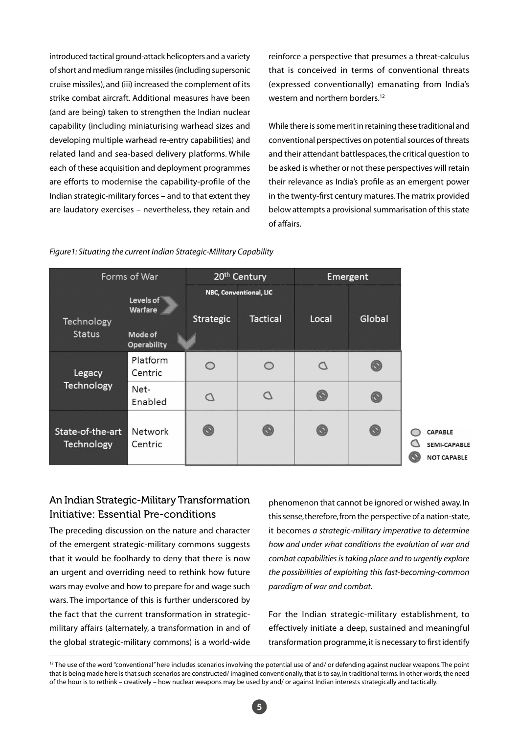introduced tactical ground-attack helicopters and a variety of short and medium range missiles (including supersonic cruise missiles), and (iii) increased the complement of its strike combat aircraft. Additional measures have been (and are being) taken to strengthen the Indian nuclear capability (including miniaturising warhead sizes and developing multiple warhead re-entry capabilities) and related land and sea-based delivery platforms. While each of these acquisition and deployment programmes are efforts to modernise the capability-profile of the Indian strategic-military forces – and to that extent they are laudatory exercises – nevertheless, they retain and reinforce a perspective that presumes a threat-calculus that is conceived in terms of conventional threats (expressed conventionally) emanating from India's western and northern borders.12

While there is some merit in retaining these traditional and conventional perspectives on potential sources of threats and their attendant battlespaces, the critical question to be asked is whether or not these perspectives will retain their relevance as India's profile as an emergent power in the twenty-first century matures. The matrix provided below attempts a provisional summarisation of this state of affairs.

| Forms of War                   |                                                       | 20 <sup>th</sup> Century |                                           | Emergent |                |                                                             |
|--------------------------------|-------------------------------------------------------|--------------------------|-------------------------------------------|----------|----------------|-------------------------------------------------------------|
| Technology<br><b>Status</b>    | Levels of<br>Warfare<br>Mode of<br><b>Operability</b> | Strategic                | NBC, Conventional, LIC<br><b>Tactical</b> | Local    | Global         |                                                             |
| Legacy<br>Technology           | Platform<br>Centric                                   | $\circ$                  | $\circ$                                   | C        | $\circledcirc$ |                                                             |
|                                | Net-<br>Enabled                                       | Ω                        | O                                         | ◉        | $\circledcirc$ |                                                             |
| State-of-the-art<br>Technology | Network<br>Centric                                    | ◉                        | O                                         | ◉        | ◉              | <b>CAPABLE</b><br><b>SEMI-CAPABLE</b><br><b>NOT CAPABLE</b> |

#### *Figure1: Situating the current Indian Strategic-Military Capability*

### An Indian Strategic-Military Transformation Initiative: Essential Pre-conditions

The preceding discussion on the nature and character of the emergent strategic-military commons suggests that it would be foolhardy to deny that there is now an urgent and overriding need to rethink how future wars may evolve and how to prepare for and wage such wars. The importance of this is further underscored by the fact that the current transformation in strategicmilitary affairs (alternately, a transformation in and of the global strategic-military commons) is a world-wide

phenomenon that cannot be ignored or wished away. In this sense, therefore, from the perspective of a nation-state, it becomes *a strategic-military imperative to determine how and under what conditions the evolution of war and combat capabilities is taking place and to urgently explore the possibilities of exploiting this fast-becoming-common paradigm of war and combat*.

For the Indian strategic-military establishment, to effectively initiate a deep, sustained and meaningful transformation programme, it is necessary to first identify

<sup>&</sup>lt;sup>12</sup> The use of the word "conventional" here includes scenarios involving the potential use of and/ or defending against nuclear weapons. The point that is being made here is that such scenarios are constructed/ imagined conventionally, that is to say, in traditional terms. In other words, the need of the hour is to rethink – creatively – how nuclear weapons may be used by and/ or against Indian interests strategically and tactically.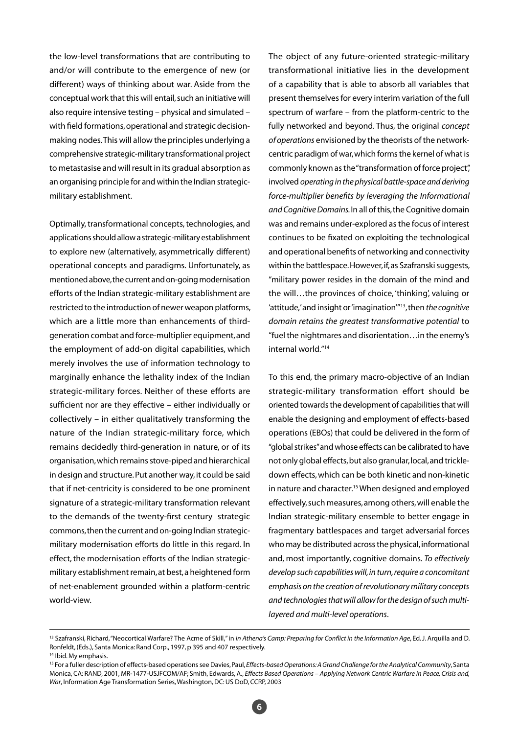the low-level transformations that are contributing to and/or will contribute to the emergence of new (or different) ways of thinking about war. Aside from the conceptual work that this will entail, such an initiative will also require intensive testing – physical and simulated – with field formations, operational and strategic decisionmaking nodes. This will allow the principles underlying a comprehensive strategic-military transformational project to metastasise and will result in its gradual absorption as an organising principle for and within the Indian strategicmilitary establishment.

Optimally, transformational concepts, technologies, and applications should allow a strategic-military establishment to explore new (alternatively, asymmetrically different) operational concepts and paradigms. Unfortunately, as mentioned above, the current and on-going modernisation efforts of the Indian strategic-military establishment are restricted to the introduction of newer weapon platforms, which are a little more than enhancements of thirdgeneration combat and force-multiplier equipment, and the employment of add-on digital capabilities, which merely involves the use of information technology to marginally enhance the lethality index of the Indian strategic-military forces. Neither of these efforts are sufficient nor are they effective – either individually or collectively – in either qualitatively transforming the nature of the Indian strategic-military force, which remains decidedly third-generation in nature, or of its organisation, which remains stove-piped and hierarchical in design and structure. Put another way, it could be said that if net-centricity is considered to be one prominent signature of a strategic-military transformation relevant to the demands of the twenty-first century strategic commons, then the current and on-going Indian strategicmilitary modernisation efforts do little in this regard. In effect, the modernisation efforts of the Indian strategicmilitary establishment remain, at best, a heightened form of net-enablement grounded within a platform-centric world-view.

The object of any future-oriented strategic-military transformational initiative lies in the development of a capability that is able to absorb all variables that present themselves for every interim variation of the full spectrum of warfare – from the platform-centric to the fully networked and beyond. Thus, the original *concept of operations* envisioned by the theorists of the networkcentric paradigm of war, which forms the kernel of what is commonly known as the "transformation of force project", involved *operating in the physical battle-space and deriving force-multiplier benefits by leveraging the Informational and Cognitive Domains.* In all of this, the Cognitive domain was and remains under-explored as the focus of interest continues to be fixated on exploiting the technological and operational benefits of networking and connectivity within the battlespace. However, if, as Szafranski suggests, "military power resides in the domain of the mind and the will…the provinces of choice, 'thinking', valuing or 'attitude,' and insight or 'imagination'"13, then *the cognitive domain retains the greatest transformative potential* to "fuel the nightmares and disorientation…in the enemy's internal world."14

To this end, the primary macro-objective of an Indian strategic-military transformation effort should be oriented towards the development of capabilities that will enable the designing and employment of effects-based operations (EBOs) that could be delivered in the form of "global strikes" and whose effects can be calibrated to have not only global effects, but also granular, local, and trickledown effects, which can be both kinetic and non-kinetic in nature and character.<sup>15</sup> When designed and employed effectively, such measures, among others, will enable the Indian strategic-military ensemble to better engage in fragmentary battlespaces and target adversarial forces who may be distributed across the physical, informational and, most importantly, cognitive domains. *To effectively develop such capabilities will, in turn, require a concomitant emphasis on the creation of revolutionary military concepts and technologies that will allow for the design of such multilayered and multi-level operations*.

<sup>&</sup>lt;sup>13</sup> Szafranski, Richard, "Neocortical Warfare? The Acme of Skill," in *In Athena's Camp: Preparing for Conflict in the Information Age*, Ed. J. Arquilla and D. Ronfeldt, (Eds.), Santa Monica: Rand Corp., 1997, p 395 and 407 respectively. <sup>14</sup> Ibid. My emphasis.

<sup>&</sup>lt;sup>15</sup> For a fuller description of effects-based operations see Davies, Paul, *Effects-based Operations: A Grand Challenge for the Analytical Community*, Santa Monica, CA: RAND, 2001, MR-1477-USJFCOM/AF; Smith, Edwards, A., *Effects Based Operations – Applying Network Centric Warfare in Peace, Crisis and, War*, Information Age Transformation Series, Washington, DC: US DoD, CCRP, 2003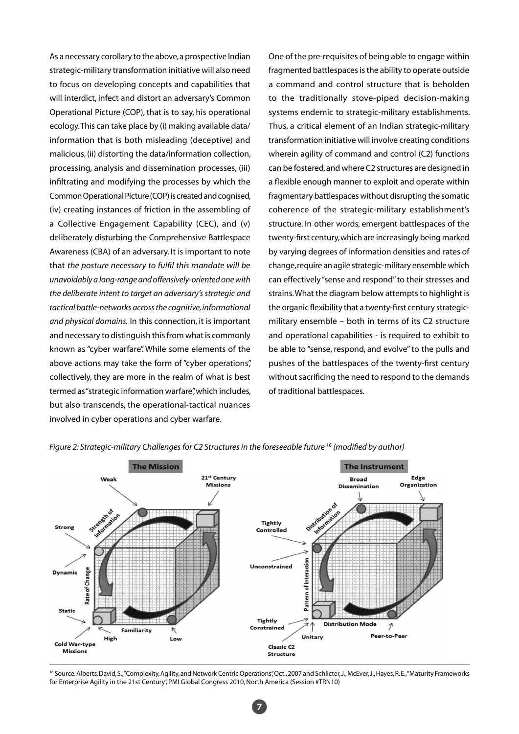As a necessary corollary to the above, a prospective Indian strategic-military transformation initiative will also need to focus on developing concepts and capabilities that will interdict, infect and distort an adversary's Common Operational Picture (COP), that is to say, his operational ecology. This can take place by (i) making available data/ information that is both misleading (deceptive) and malicious, (ii) distorting the data/information collection, processing, analysis and dissemination processes, (iii) infiltrating and modifying the processes by which the Common Operational Picture (COP) is created and cognised, (iv) creating instances of friction in the assembling of a Collective Engagement Capability (CEC), and (v) deliberately disturbing the Comprehensive Battlespace Awareness (CBA) of an adversary. It is important to note that *the posture necessary to fulfil this mandate will be unavoidably a long-range and offensively-oriented one with the deliberate intent to target an adversary's strategic and tactical battle-networks across the cognitive, informational and physical domains.* In this connection, it is important and necessary to distinguish this from what is commonly known as "cyber warfare". While some elements of the above actions may take the form of "cyber operations", collectively, they are more in the realm of what is best termed as "strategic information warfare", which includes, but also transcends, the operational-tactical nuances involved in cyber operations and cyber warfare.

One of the pre-requisites of being able to engage within fragmented battlespaces is the ability to operate outside a command and control structure that is beholden to the traditionally stove-piped decision-making systems endemic to strategic-military establishments. Thus, a critical element of an Indian strategic-military transformation initiative will involve creating conditions wherein agility of command and control (C2) functions can be fostered, and where C2 structures are designed in a flexible enough manner to exploit and operate within fragmentary battlespaces without disrupting the somatic coherence of the strategic-military establishment's structure. In other words, emergent battlespaces of the twenty-first century, which are increasingly being marked by varying degrees of information densities and rates of change, require an agile strategic-military ensemble which can effectively "sense and respond" to their stresses and strains. What the diagram below attempts to highlight is the organic flexibility that a twenty-first century strategicmilitary ensemble – both in terms of its C2 structure and operational capabilities - is required to exhibit to be able to "sense, respond, and evolve" to the pulls and pushes of the battlespaces of the twenty-first century without sacrificing the need to respond to the demands of traditional battlespaces.



#### *Figure 2: Strategic-military Challenges for C2 Structures in the foreseeable future* <sup>16</sup> *(modified by author)*

<sup>16</sup> Source: Alberts, David, S., "Complexity, Agility, and Network Centric Operations", Oct., 2007 and Schlicter, J., McEver, J., Hayes, R. E., "Maturity Frameworks for Enterprise Agility in the 21st Century", PMI Global Congress 2010, North America (Session #TRN10)

7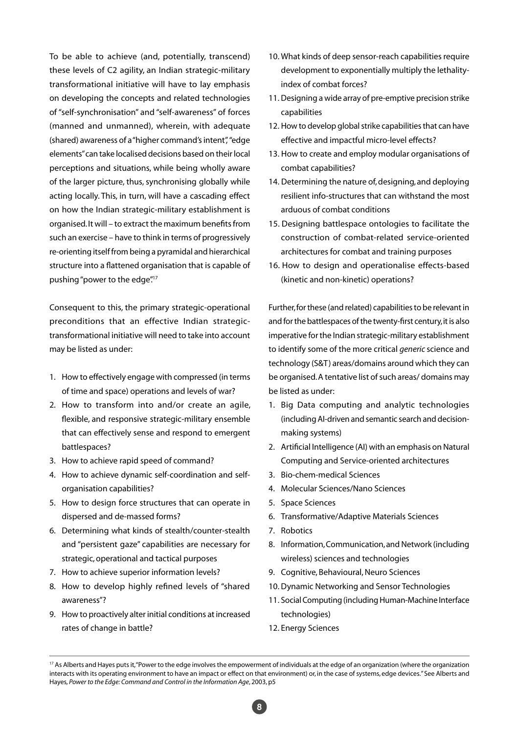To be able to achieve (and, potentially, transcend) these levels of C2 agility, an Indian strategic-military transformational initiative will have to lay emphasis on developing the concepts and related technologies of "self-synchronisation" and "self-awareness" of forces (manned and unmanned), wherein, with adequate (shared) awareness of a "higher command's intent", "edge elements" can take localised decisions based on their local perceptions and situations, while being wholly aware of the larger picture, thus, synchronising globally while acting locally. This, in turn, will have a cascading effect on how the Indian strategic-military establishment is organised. It will – to extract the maximum benefits from such an exercise – have to think in terms of progressively re-orienting itself from being a pyramidal and hierarchical structure into a flattened organisation that is capable of pushing "power to the edge".<sup>17</sup>

Consequent to this, the primary strategic-operational preconditions that an effective Indian strategictransformational initiative will need to take into account may be listed as under:

- 1. How to effectively engage with compressed (in terms of time and space) operations and levels of war?
- 2. How to transform into and/or create an agile, flexible, and responsive strategic-military ensemble that can effectively sense and respond to emergent battlespaces?
- 3. How to achieve rapid speed of command?
- 4. How to achieve dynamic self-coordination and selforganisation capabilities?
- 5. How to design force structures that can operate in dispersed and de-massed forms?
- 6. Determining what kinds of stealth/counter-stealth and "persistent gaze" capabilities are necessary for strategic, operational and tactical purposes
- 7. How to achieve superior information levels?
- 8. How to develop highly refined levels of "shared awareness"?
- 9. How to proactively alter initial conditions at increased rates of change in battle?
- 10. What kinds of deep sensor-reach capabilities require development to exponentially multiply the lethalityindex of combat forces?
- 11. Designing a wide array of pre-emptive precision strike capabilities
- 12. How to develop global strike capabilities that can have effective and impactful micro-level effects?
- 13. How to create and employ modular organisations of combat capabilities?
- 14. Determining the nature of, designing, and deploying resilient info-structures that can withstand the most arduous of combat conditions
- 15. Designing battlespace ontologies to facilitate the construction of combat-related service-oriented architectures for combat and training purposes
- 16. How to design and operationalise effects-based (kinetic and non-kinetic) operations?

Further, for these (and related) capabilities to be relevant in and for the battlespaces of the twenty-first century, it is also imperative for the Indian strategic-military establishment to identify some of the more critical *generic* science and technology (S&T) areas/domains around which they can be organised. A tentative list of such areas/ domains may be listed as under:

- 1. Big Data computing and analytic technologies (including AI-driven and semantic search and decisionmaking systems)
- 2. Artificial Intelligence (AI) with an emphasis on Natural Computing and Service-oriented architectures
- 3. Bio-chem-medical Sciences
- 4. Molecular Sciences/Nano Sciences
- 5. Space Sciences
- 6. Transformative/Adaptive Materials Sciences
- 7. Robotics
- 8. Information, Communication, and Network (including wireless) sciences and technologies
- 9. Cognitive, Behavioural, Neuro Sciences
- 10. Dynamic Networking and Sensor Technologies
- 11. Social Computing (including Human-Machine Interface technologies)
- 12. Energy Sciences

8

<sup>&</sup>lt;sup>17</sup> As Alberts and Hayes puts it, "Power to the edge involves the empowerment of individuals at the edge of an organization (where the organization interacts with its operating environment to have an impact or effect on that environment) or, in the case of systems, edge devices." See Alberts and Hayes*, Power to the Edge: Command and Control in the Information Age*, 2003, p5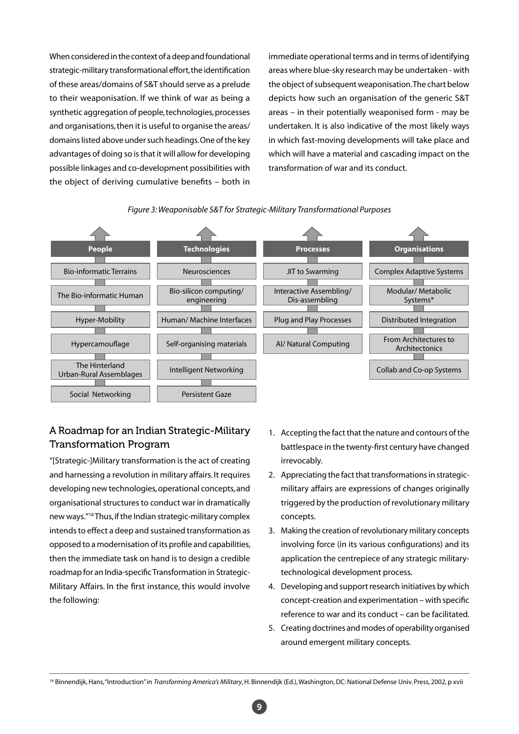When considered in the context of a deep and foundational strategic-military transformational effort, the identification of these areas/domains of S&T should serve as a prelude to their weaponisation. If we think of war as being a synthetic aggregation of people, technologies, processes and organisations, then it is useful to organise the areas/ domains listed above under such headings. One of the key advantages of doing so is that it will allow for developing possible linkages and co-development possibilities with the object of deriving cumulative benefits – both in

immediate operational terms and in terms of identifying areas where blue-sky research may be undertaken - with the object of subsequent weaponisation. The chart below depicts how such an organisation of the generic S&T areas – in their potentially weaponised form - may be undertaken. It is also indicative of the most likely ways in which fast-moving developments will take place and which will have a material and cascading impact on the transformation of war and its conduct.





# A Roadmap for an Indian Strategic-Military Transformation Program

"[Strategic-]Military transformation is the act of creating and harnessing a revolution in military affairs. It requires developing new technologies, operational concepts, and organisational structures to conduct war in dramatically new ways."18 Thus, if the Indian strategic-military complex intends to effect a deep and sustained transformation as opposed to a modernisation of its profile and capabilities, then the immediate task on hand is to design a credible roadmap for an India-specific Transformation in Strategic-Military Affairs. In the first instance, this would involve the following:

- 1. Accepting the fact that the nature and contours of the battlespace in the twenty-first century have changed irrevocably.
- 2. Appreciating the fact that transformations in strategicmilitary affairs are expressions of changes originally triggered by the production of revolutionary military concepts.
- 3. Making the creation of revolutionary military concepts involving force (in its various configurations) and its application the centrepiece of any strategic militarytechnological development process.
- 4. Developing and support research initiatives by which concept-creation and experimentation – with specific reference to war and its conduct – can be facilitated.
- 5. Creating doctrines and modes of operability organised around emergent military concepts.

9

<sup>&</sup>lt;sup>18</sup> Binnendijk, Hans, "Introduction" in *Transforming America's Military*, H. Binnendijk (Ed.), Washington, DC: National Defense Univ. Press, 2002, p xvii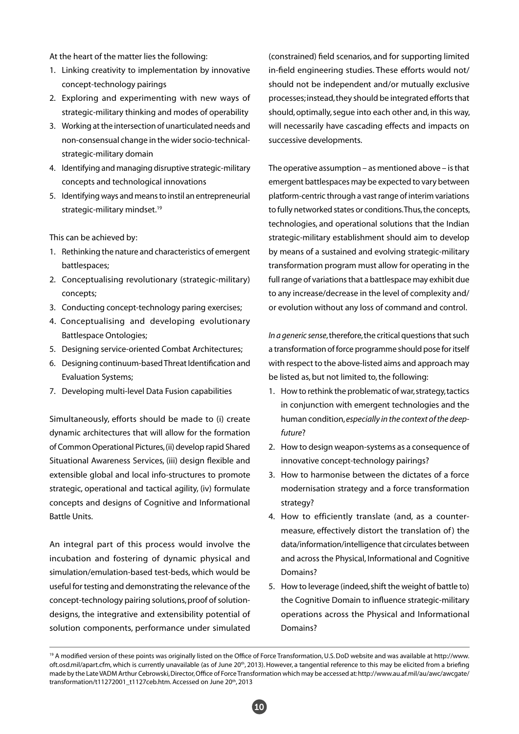At the heart of the matter lies the following:

- 1. Linking creativity to implementation by innovative concept-technology pairings
- 2. Exploring and experimenting with new ways of strategic-military thinking and modes of operability
- 3. Working at the intersection of unarticulated needs and non-consensual change in the wider socio-technicalstrategic-military domain
- 4. Identifying and managing disruptive strategic-military concepts and technological innovations
- 5. Identifying ways and means to instil an entrepreneurial strategic-military mindset.<sup>19</sup>

This can be achieved by:

- 1. Rethinking the nature and characteristics of emergent battlespaces;
- 2. Conceptualising revolutionary (strategic-military) concepts;
- 3. Conducting concept-technology paring exercises;
- 4. Conceptualising and developing evolutionary Battlespace Ontologies;
- 5. Designing service-oriented Combat Architectures;
- 6. Designing continuum-based Threat Identification and Evaluation Systems;
- 7. Developing multi-level Data Fusion capabilities

Simultaneously, efforts should be made to (i) create dynamic architectures that will allow for the formation of Common Operational Pictures, (ii) develop rapid Shared Situational Awareness Services, (iii) design flexible and extensible global and local info-structures to promote strategic, operational and tactical agility, (iv) formulate concepts and designs of Cognitive and Informational Battle Units.

An integral part of this process would involve the incubation and fostering of dynamic physical and simulation/emulation-based test-beds, which would be useful for testing and demonstrating the relevance of the concept-technology pairing solutions, proof of solutiondesigns, the integrative and extensibility potential of solution components, performance under simulated

(constrained) field scenarios, and for supporting limited in-field engineering studies. These efforts would not/ should not be independent and/or mutually exclusive processes; instead, they should be integrated efforts that should, optimally, segue into each other and, in this way, will necessarily have cascading effects and impacts on successive developments.

The operative assumption – as mentioned above – is that emergent battlespaces may be expected to vary between platform-centric through a vast range of interim variations to fully networked states or conditions. Thus, the concepts, technologies, and operational solutions that the Indian strategic-military establishment should aim to develop by means of a sustained and evolving strategic-military transformation program must allow for operating in the full range of variations that a battlespace may exhibit due to any increase/decrease in the level of complexity and/ or evolution without any loss of command and control.

*In a generic sense*, therefore, the critical questions that such a transformation of force programme should pose for itself with respect to the above-listed aims and approach may be listed as, but not limited to, the following:

- 1. How to rethink the problematic of war, strategy, tactics in conjunction with emergent technologies and the human condition, *especially in the context of the deepfuture*?
- 2. How to design weapon-systems as a consequence of innovative concept-technology pairings?
- 3. How to harmonise between the dictates of a force modernisation strategy and a force transformation strategy?
- 4. How to efficiently translate (and, as a countermeasure, effectively distort the translation of) the data/information/intelligence that circulates between and across the Physical, Informational and Cognitive Domains?
- 5. How to leverage (indeed, shift the weight of battle to) the Cognitive Domain to influence strategic-military operations across the Physical and Informational Domains?

<sup>19</sup> A modified version of these points was originally listed on the Office of Force Transformation, U.S. DoD website and was available at http://www. oft.osd.mil/apart.cfm, which is currently unavailable (as of June 20<sup>th</sup>, 2013). However, a tangential reference to this may be elicited from a briefing made by the Late VADM Arthur Cebrowski, Director, Office of Force Transformation which may be accessed at: http://www.au.af.mil/au/awc/awcgate/ transformation/t11272001\_t1127ceb.htm. Accessed on June 20<sup>th</sup>, 2013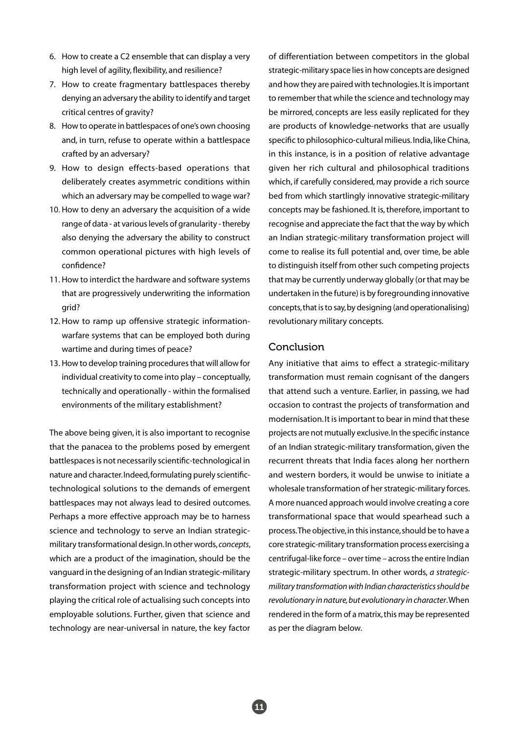- 6. How to create a C2 ensemble that can display a very high level of agility, flexibility, and resilience?
- 7. How to create fragmentary battlespaces thereby denying an adversary the ability to identify and target critical centres of gravity?
- 8. How to operate in battlespaces of one's own choosing and, in turn, refuse to operate within a battlespace crafted by an adversary?
- 9. How to design effects-based operations that deliberately creates asymmetric conditions within which an adversary may be compelled to wage war?
- 10. How to deny an adversary the acquisition of a wide range of data - at various levels of granularity - thereby also denying the adversary the ability to construct common operational pictures with high levels of confidence?
- 11. How to interdict the hardware and software systems that are progressively underwriting the information grid?
- 12. How to ramp up offensive strategic informationwarfare systems that can be employed both during wartime and during times of peace?
- 13. How to develop training procedures that will allow for individual creativity to come into play – conceptually, technically and operationally - within the formalised environments of the military establishment?

The above being given, it is also important to recognise that the panacea to the problems posed by emergent battlespaces is not necessarily scientific-technological in nature and character. Indeed, formulating purely scientifictechnological solutions to the demands of emergent battlespaces may not always lead to desired outcomes. Perhaps a more effective approach may be to harness science and technology to serve an Indian strategicmilitary transformational design. In other words, *concepts*, which are a product of the imagination, should be the vanguard in the designing of an Indian strategic-military transformation project with science and technology playing the critical role of actualising such concepts into employable solutions. Further, given that science and technology are near-universal in nature, the key factor of differentiation between competitors in the global strategic-military space lies in how concepts are designed and how they are paired with technologies. It is important to remember that while the science and technology may be mirrored, concepts are less easily replicated for they are products of knowledge-networks that are usually specific to philosophico-cultural milieus. India, like China, in this instance, is in a position of relative advantage given her rich cultural and philosophical traditions which, if carefully considered, may provide a rich source bed from which startlingly innovative strategic-military concepts may be fashioned. It is, therefore, important to recognise and appreciate the fact that the way by which an Indian strategic-military transformation project will come to realise its full potential and, over time, be able to distinguish itself from other such competing projects that may be currently underway globally (or that may be undertaken in the future) is by foregrounding innovative concepts, that is to say, by designing (and operationalising) revolutionary military concepts.

#### Conclusion

Any initiative that aims to effect a strategic-military transformation must remain cognisant of the dangers that attend such a venture. Earlier, in passing, we had occasion to contrast the projects of transformation and modernisation. It is important to bear in mind that these projects are not mutually exclusive. In the specific instance of an Indian strategic-military transformation, given the recurrent threats that India faces along her northern and western borders, it would be unwise to initiate a wholesale transformation of her strategic-military forces. A more nuanced approach would involve creating a core transformational space that would spearhead such a process. The objective, in this instance, should be to have a core strategic-military transformation process exercising a centrifugal-like force – over time – across the entire Indian strategic-military spectrum. In other words, *a strategicmilitary transformation with Indian characteristics should be revolutionary in nature, but evolutionary in character*. When rendered in the form of a matrix, this may be represented as per the diagram below.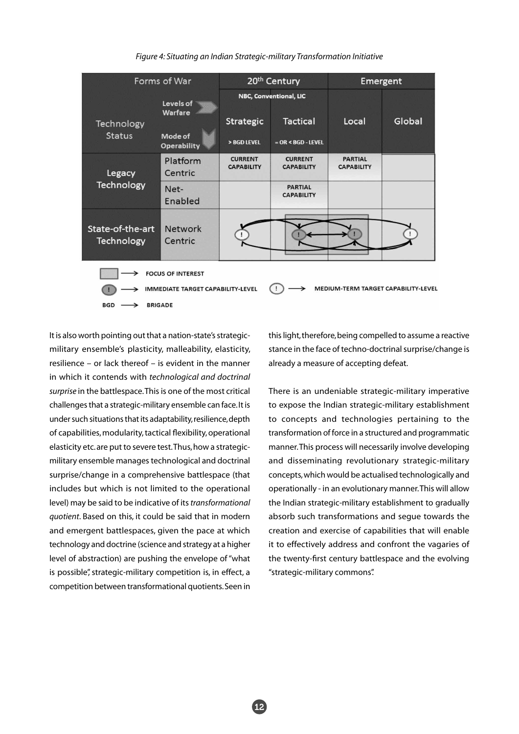*Figure 4: Situating an Indian Strategic-military Transformation Initiative*



It is also worth pointing out that a nation-state's strategicmilitary ensemble's plasticity, malleability, elasticity, resilience – or lack thereof – is evident in the manner in which it contends with *technological and doctrinal surprise* in the battlespace. This is one of the most critical challenges that a strategic-military ensemble can face. It is under such situations that its adaptability, resilience, depth of capabilities, modularity, tactical flexibility, operational elasticity etc. are put to severe test. Thus, how a strategicmilitary ensemble manages technological and doctrinal surprise/change in a comprehensive battlespace (that includes but which is not limited to the operational level) may be said to be indicative of its *transformational quotient*. Based on this, it could be said that in modern and emergent battlespaces, given the pace at which technology and doctrine (science and strategy at a higher level of abstraction) are pushing the envelope of "what is possible", strategic-military competition is, in effect, a competition between transformational quotients. Seen in

this light, therefore, being compelled to assume a reactive stance in the face of techno-doctrinal surprise/change is already a measure of accepting defeat.

There is an undeniable strategic-military imperative to expose the Indian strategic-military establishment to concepts and technologies pertaining to the transformation of force in a structured and programmatic manner. This process will necessarily involve developing and disseminating revolutionary strategic-military concepts, which would be actualised technologically and operationally - in an evolutionary manner. This will allow the Indian strategic-military establishment to gradually absorb such transformations and segue towards the creation and exercise of capabilities that will enable it to effectively address and confront the vagaries of the twenty-first century battlespace and the evolving "strategic-military commons".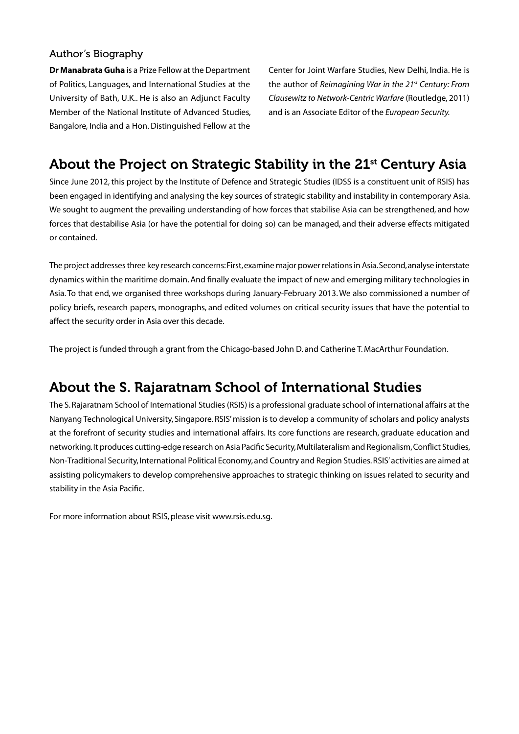### Author's Biography

**Dr Manabrata Guha** is a Prize Fellow at the Department of Politics, Languages, and International Studies at the University of Bath, U.K.. He is also an Adjunct Faculty Member of the National Institute of Advanced Studies, Bangalore, India and a Hon. Distinguished Fellow at the

Center for Joint Warfare Studies, New Delhi, India. He is the author of *Reimagining War in the 21st Century: From Clausewitz to Network-Centric Warfare* (Routledge, 2011) and is an Associate Editor of the *European Security.*

# About the Project on Strategic Stability in the 21<sup>st</sup> Century Asia

Since June 2012, this project by the Institute of Defence and Strategic Studies (IDSS is a constituent unit of RSIS) has been engaged in identifying and analysing the key sources of strategic stability and instability in contemporary Asia. We sought to augment the prevailing understanding of how forces that stabilise Asia can be strengthened, and how forces that destabilise Asia (or have the potential for doing so) can be managed, and their adverse effects mitigated or contained.

The project addresses three key research concerns: First, examine major power relations in Asia. Second, analyse interstate dynamics within the maritime domain. And finally evaluate the impact of new and emerging military technologies in Asia. To that end, we organised three workshops during January-February 2013. We also commissioned a number of policy briefs, research papers, monographs, and edited volumes on critical security issues that have the potential to affect the security order in Asia over this decade.

The project is funded through a grant from the Chicago-based John D. and Catherine T. MacArthur Foundation.

# About the S. Rajaratnam School of International Studies

The S. Rajaratnam School of International Studies (RSIS) is a professional graduate school of international affairs at the Nanyang Technological University, Singapore. RSIS' mission is to develop a community of scholars and policy analysts at the forefront of security studies and international affairs. Its core functions are research, graduate education and networking. It produces cutting-edge research on Asia Pacific Security, Multilateralism and Regionalism, Conflict Studies, Non-Traditional Security, International Political Economy, and Country and Region Studies. RSIS' activities are aimed at assisting policymakers to develop comprehensive approaches to strategic thinking on issues related to security and stability in the Asia Pacific.

For more information about RSIS, please visit www.rsis.edu.sg.